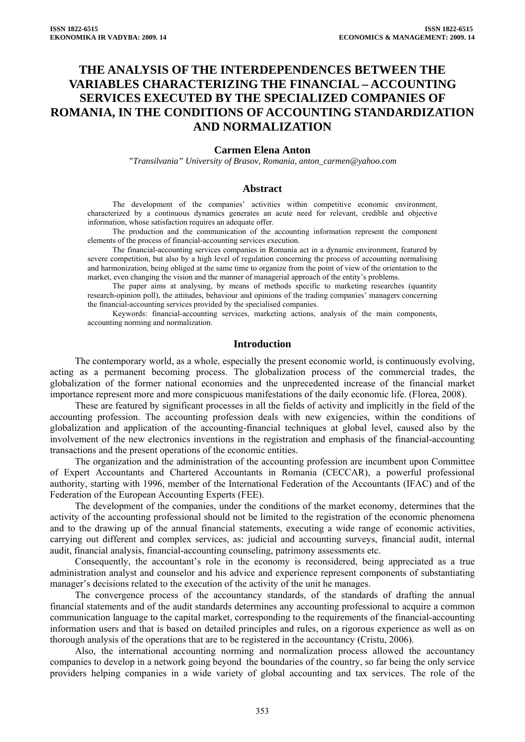# **THE ANALYSIS OF THE INTERDEPENDENCES BETWEEN THE VARIABLES CHARACTERIZING THE FINANCIAL – ACCOUNTING SERVICES EXECUTED BY THE SPECIALIZED COMPANIES OF ROMANIA, IN THE CONDITIONS OF ACCOUNTING STANDARDIZATION AND NORMALIZATION**

#### **Carmen Elena Anton**

*"Transilvania" University of Brasov, Romania, anton\_carmen@yahoo.com* 

#### **Abstract**

The development of the companies' activities within competitive economic environment, characterized by a continuous dynamics generates an acute need for relevant, credible and objective information, whose satisfaction requires an adequate offer.

The production and the communication of the accounting information represent the component elements of the process of financial-accounting services execution.

The financial-accounting services companies in Romania act in a dynamic environment, featured by severe competition, but also by a high level of regulation concerning the process of accounting normalising and harmonization, being obliged at the same time to organize from the point of view of the orientation to the market, even changing the vision and the manner of managerial approach of the entity's problems.

The paper aims at analysing, by means of methods specific to marketing researches (quantity research-opinion poll), the attitudes, behaviour and opinions of the trading companies' managers concerning the financial-accounting services provided by the specialised companies.

Keywords: financial-accounting services, marketing actions, analysis of the main components, accounting norming and normalization.

## **Introduction**

The contemporary world, as a whole, especially the present economic world, is continuously evolving, acting as a permanent becoming process. The globalization process of the commercial trades, the globalization of the former national economies and the unprecedented increase of the financial market importance represent more and more conspicuous manifestations of the daily economic life. (Florea, 2008).

These are featured by significant processes in all the fields of activity and implicitly in the field of the accounting profession. The accounting profession deals with new exigencies, within the conditions of globalization and application of the accounting-financial techniques at global level, caused also by the involvement of the new electronics inventions in the registration and emphasis of the financial-accounting transactions and the present operations of the economic entities.

The organization and the administration of the accounting profession are incumbent upon Committee of Expert Accountants and Chartered Accountants in Romania (CECCAR), a powerful professional authority, starting with 1996, member of the International Federation of the Accountants (IFAC) and of the Federation of the European Accounting Experts (FEE).

The development of the companies, under the conditions of the market economy, determines that the activity of the accounting professional should not be limited to the registration of the economic phenomena and to the drawing up of the annual financial statements, executing a wide range of economic activities, carrying out different and complex services, as: judicial and accounting surveys, financial audit, internal audit, financial analysis, financial-accounting counseling, patrimony assessments etc.

Consequently, the accountant's role in the economy is reconsidered, being appreciated as a true administration analyst and counselor and his advice and experience represent components of substantiating manager's decisions related to the execution of the activity of the unit he manages.

The convergence process of the accountancy standards, of the standards of drafting the annual financial statements and of the audit standards determines any accounting professional to acquire a common communication language to the capital market, corresponding to the requirements of the financial-accounting information users and that is based on detailed principles and rules, on a rigorous experience as well as on thorough analysis of the operations that are to be registered in the accountancy (Cristu, 2006).

Also, the international accounting norming and normalization process allowed the accountancy companies to develop in a network going beyond the boundaries of the country, so far being the only service providers helping companies in a wide variety of global accounting and tax services. The role of the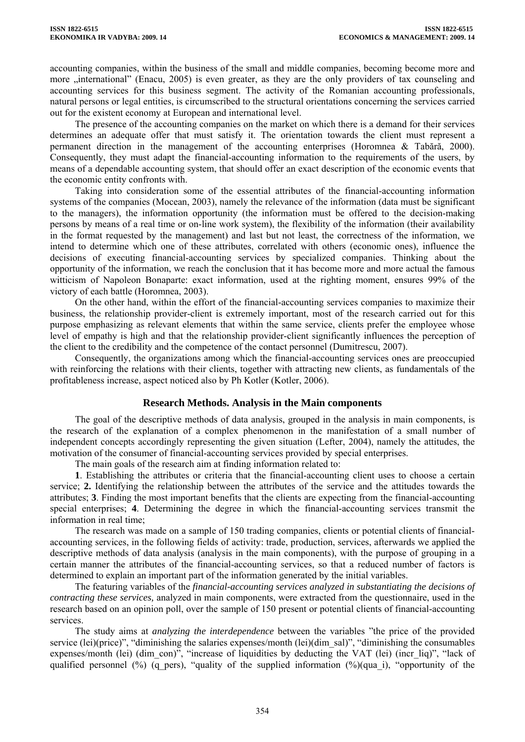accounting companies, within the business of the small and middle companies, becoming become more and more "international" (Enacu, 2005) is even greater, as they are the only providers of tax counseling and accounting services for this business segment. The activity of the Romanian accounting professionals, natural persons or legal entities, is circumscribed to the structural orientations concerning the services carried out for the existent economy at European and international level.

The presence of the accounting companies on the market on which there is a demand for their services determines an adequate offer that must satisfy it. The orientation towards the client must represent a permanent direction in the management of the accounting enterprises (Horomnea & Tabără, 2000). Consequently, they must adapt the financial-accounting information to the requirements of the users, by means of a dependable accounting system, that should offer an exact description of the economic events that the economic entity confronts with.

Taking into consideration some of the essential attributes of the financial-accounting information systems of the companies (Mocean, 2003), namely the relevance of the information (data must be significant to the managers), the information opportunity (the information must be offered to the decision-making persons by means of a real time or on-line work system), the flexibility of the information (their availability in the format requested by the management) and last but not least, the correctness of the information, we intend to determine which one of these attributes, correlated with others (economic ones), influence the decisions of executing financial-accounting services by specialized companies. Thinking about the opportunity of the information, we reach the conclusion that it has become more and more actual the famous witticism of Napoleon Bonaparte: exact information, used at the righting moment, ensures 99% of the victory of each battle (Horomnea, 2003).

On the other hand, within the effort of the financial-accounting services companies to maximize their business, the relationship provider-client is extremely important, most of the research carried out for this purpose emphasizing as relevant elements that within the same service, clients prefer the employee whose level of empathy is high and that the relationship provider-client significantly influences the perception of the client to the credibility and the competence of the contact personnel (Dumitrescu, 2007).

Consequently, the organizations among which the financial-accounting services ones are preoccupied with reinforcing the relations with their clients, together with attracting new clients, as fundamentals of the profitableness increase, aspect noticed also by Ph Kotler (Kotler, 2006).

## **Research Methods. Analysis in the Main components**

The goal of the descriptive methods of data analysis, grouped in the analysis in main components, is the research of the explanation of a complex phenomenon in the manifestation of a small number of independent concepts accordingly representing the given situation (Lefter, 2004), namely the attitudes, the motivation of the consumer of financial-accounting services provided by special enterprises.

The main goals of the research aim at finding information related to:

**1**. Establishing the attributes or criteria that the financial-accounting client uses to choose a certain service; **2.** Identifying the relationship between the attributes of the service and the attitudes towards the attributes; **3**. Finding the most important benefits that the clients are expecting from the financial-accounting special enterprises; **4**. Determining the degree in which the financial-accounting services transmit the information in real time;

The research was made on a sample of 150 trading companies, clients or potential clients of financialaccounting services, in the following fields of activity: trade, production, services, afterwards we applied the descriptive methods of data analysis (analysis in the main components), with the purpose of grouping in a certain manner the attributes of the financial-accounting services, so that a reduced number of factors is determined to explain an important part of the information generated by the initial variables.

The featuring variables of the *financial-accounting services analyzed in substantiating the decisions of contracting these services,* analyzed in main components, were extracted from the questionnaire, used in the research based on an opinion poll, over the sample of 150 present or potential clients of financial-accounting services.

The study aims at *analyzing the interdependence* between the variables "the price of the provided service (lei)(price)", "diminishing the salaries expenses/month (lei)(dim\_sal)", "diminishing the consumables expenses/month (lei) (dim\_con)", "increase of liquidities by deducting the VAT (lei) (incr\_liq)", "lack of qualified personnel (%) (q pers), "quality of the supplied information (%)(qua i), "opportunity of the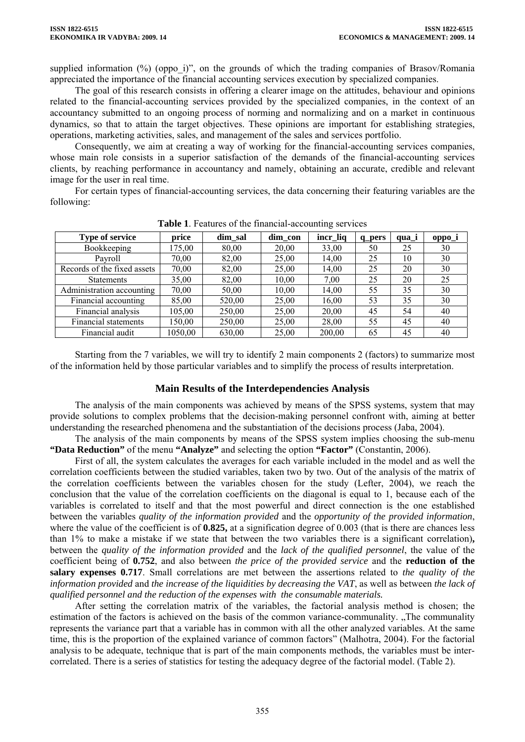supplied information (%) (oppo\_i)", on the grounds of which the trading companies of Brasov/Romania appreciated the importance of the financial accounting services execution by specialized companies.

The goal of this research consists in offering a clearer image on the attitudes, behaviour and opinions related to the financial-accounting services provided by the specialized companies, in the context of an accountancy submitted to an ongoing process of norming and normalizing and on a market in continuous dynamics, so that to attain the target objectives. These opinions are important for establishing strategies, operations, marketing activities, sales, and management of the sales and services portfolio.

Consequently, we aim at creating a way of working for the financial-accounting services companies, whose main role consists in a superior satisfaction of the demands of the financial-accounting services clients, by reaching performance in accountancy and namely, obtaining an accurate, credible and relevant image for the user in real time.

For certain types of financial-accounting services, the data concerning their featuring variables are the following:

| <b>Type of service</b>      | price   | dim_sal | dim_con | incr_liq | q_pers | qua_i | oppo_i |
|-----------------------------|---------|---------|---------|----------|--------|-------|--------|
| Bookkeeping                 | 175,00  | 80,00   | 20,00   | 33,00    | 50     | 25    | 30     |
| Payroll                     | 70,00   | 82,00   | 25,00   | 14,00    | 25     | 10    | 30     |
| Records of the fixed assets | 70,00   | 82,00   | 25,00   | 14.00    | 25     | 20    | 30     |
| Statements                  | 35,00   | 82,00   | 10,00   | 7,00     | 25     | 20    | 25     |
| Administration accounting   | 70,00   | 50,00   | 10,00   | 14.00    | 55     | 35    | 30     |
| Financial accounting        | 85,00   | 520,00  | 25,00   | 16,00    | 53     | 35    | 30     |
| Financial analysis          | 105,00  | 250,00  | 25,00   | 20,00    | 45     | 54    | 40     |
| Financial statements        | 150,00  | 250,00  | 25,00   | 28,00    | 55     | 45    | 40     |
| Financial audit             | 1050,00 | 630,00  | 25.00   | 200.00   | 65     | 45    | 40     |

**Table 1**. Features of the financial-accounting services

Starting from the 7 variables, we will try to identify 2 main components 2 (factors) to summarize most of the information held by those particular variables and to simplify the process of results interpretation.

## **Main Results of the Interdependencies Analysis**

The analysis of the main components was achieved by means of the SPSS systems, system that may provide solutions to complex problems that the decision-making personnel confront with, aiming at better understanding the researched phenomena and the substantiation of the decisions process (Jaba, 2004).

The analysis of the main components by means of the SPSS system implies choosing the sub-menu **"Data Reduction"** of the menu **"Analyze"** and selecting the option **"Factor"** (Constantin, 2006).

First of all, the system calculates the averages for each variable included in the model and as well the correlation coefficients between the studied variables, taken two by two. Out of the analysis of the matrix of the correlation coefficients between the variables chosen for the study (Lefter, 2004), we reach the conclusion that the value of the correlation coefficients on the diagonal is equal to 1, because each of the variables is correlated to itself and that the most powerful and direct connection is the one established between the variables *quality of the information provided* and the *opportunity of the provided information*, where the value of the coefficient is of **0.825**, at a signification degree of 0.003 (that is there are chances less than 1% to make a mistake if we state that between the two variables there is a significant correlation)**,**  between the *quality of the information provided* and the *lack of the qualified personnel*, the value of the coefficient being of **0.752**, and also between *the price of the provided service* and the **reduction of the salary expenses 0.717**. Small correlations are met between the assertions related to *the quality of the information provided* and *the increase of the liquidities by decreasing the VAT*, as well as between *the lack of qualified personnel and the reduction of the expenses with the consumable materials.* 

After setting the correlation matrix of the variables, the factorial analysis method is chosen; the estimation of the factors is achieved on the basis of the common variance-communality. The communality represents the variance part that a variable has in common with all the other analyzed variables. At the same time, this is the proportion of the explained variance of common factors" (Malhotra, 2004). For the factorial analysis to be adequate, technique that is part of the main components methods, the variables must be intercorrelated. There is a series of statistics for testing the adequacy degree of the factorial model. (Table 2).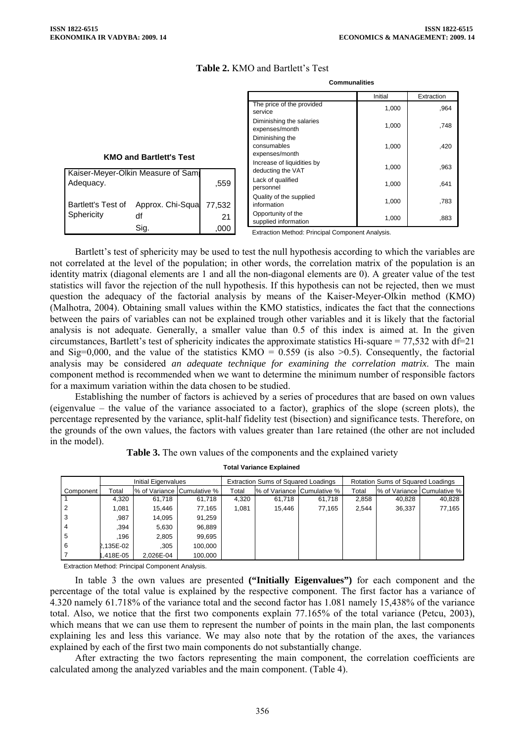1,000 ,964 1,000 748

Initial Extraction

 $1,000$  ,420

 $1,000$  963  $1,000$  641  $1,000$  783 1,000 ,883

## **Table 2.** KMO and Bartlett's Test

|                                |                                   |        |  | The price of the provided       |
|--------------------------------|-----------------------------------|--------|--|---------------------------------|
|                                |                                   |        |  | service                         |
|                                |                                   |        |  | Diminishing the salaries        |
|                                |                                   |        |  | expenses/month                  |
|                                |                                   |        |  | Diminishing the                 |
|                                |                                   |        |  | consumables<br>expenses/month   |
| <b>KMO and Bartlett's Test</b> | Increase of liquidities by        |        |  |                                 |
|                                | Kaiser-Meyer-Olkin Measure of Sam |        |  | deducting the VAT               |
| Adequacy.                      |                                   |        |  | Lack of qualified               |
|                                |                                   | .559   |  | personnel                       |
|                                |                                   |        |  | Quality of the supplied         |
| Bartlett's Test of             | Approx. Chi-Squa                  | 77.532 |  | information                     |
| Sphericity                     | df                                | 21     |  | Opportunity of the              |
|                                |                                   |        |  | supplied information            |
|                                | Sig.                              | .000   |  | Extraction Mothod: Drinoinal Ca |

**Communalities**

Extraction Method: Principal Component Analysis.

Bartlett's test of sphericity may be used to test the null hypothesis according to which the variables are not correlated at the level of the population; in other words, the correlation matrix of the population is an identity matrix (diagonal elements are 1 and all the non-diagonal elements are 0). A greater value of the test statistics will favor the rejection of the null hypothesis. If this hypothesis can not be rejected, then we must question the adequacy of the factorial analysis by means of the Kaiser-Meyer-Olkin method (KMO) (Malhotra, 2004). Obtaining small values within the KMO statistics, indicates the fact that the connections between the pairs of variables can not be explained trough other variables and it is likely that the factorial analysis is not adequate. Generally, a smaller value than 0.5 of this index is aimed at. In the given circumstances, Bartlett's test of sphericity indicates the approximate statistics Hi-square =  $77,532$  with df= $21$ and Sig=0,000, and the value of the statistics KMO =  $0.559$  (is also  $>0.5$ ). Consequently, the factorial analysis may be considered *an adequate technique for examining the correlation matrix*. The main component method is recommended when we want to determine the minimum number of responsible factors for a maximum variation within the data chosen to be studied.

Establishing the number of factors is achieved by a series of procedures that are based on own values (eigenvalue – the value of the variance associated to a factor), graphics of the slope (screen plots), the percentage represented by the variance, split-half fidelity test (bisection) and significance tests. Therefore, on the grounds of the own values, the factors with values greater than 1are retained (the other are not included in the model).

|  |  | Table 3. The own values of the components and the explained variety |
|--|--|---------------------------------------------------------------------|
|  |  |                                                                     |

**Total Variance Explained**

|           | Initial Eigenvalues |           |                               | <b>Extraction Sums of Squared Loadings</b> |        |                             | Rotation Sums of Squared Loadings |                            |        |
|-----------|---------------------|-----------|-------------------------------|--------------------------------------------|--------|-----------------------------|-----------------------------------|----------------------------|--------|
| Component | Total               |           | 1% of Variance   Cumulative % | Total                                      |        | Ⅰ% of Variance Cumulative % | Total                             | % of Variance Cumulative % |        |
|           | 4.320               | 61,718    | 61,718                        | 4,320                                      | 61.718 | 61,718                      | 2,858                             | 40,828                     | 40,828 |
|           | 1.081               | 15.446    | 77.165                        | 1.081                                      | 15.446 | 77.165                      | 2.544                             | 36,337                     | 77,165 |
| 3         | .987                | 14,095    | 91,259                        |                                            |        |                             |                                   |                            |        |
| 4         | .394                | 5,630     | 96,889                        |                                            |        |                             |                                   |                            |        |
| 5         | 196                 | 2.805     | 99.695                        |                                            |        |                             |                                   |                            |        |
| 6         | 2.135E-02           | .305      | 100.000                       |                                            |        |                             |                                   |                            |        |
|           | .418E-05            | 2.026E-04 | 100.000                       |                                            |        |                             |                                   |                            |        |

Extraction Method: Principal Component Analysis.

In table 3 the own values are presented **("Initially Eigenvalues")** for each component and the percentage of the total value is explained by the respective component. The first factor has a variance of 4.320 namely 61.718% of the variance total and the second factor has 1.081 namely 15,438% of the variance total. Also, we notice that the first two components explain 77.165% of the total variance (Petcu, 2003), which means that we can use them to represent the number of points in the main plan, the last components explaining les and less this variance. We may also note that by the rotation of the axes, the variances explained by each of the first two main components do not substantially change.

After extracting the two factors representing the main component, the correlation coefficients are calculated among the analyzed variables and the main component. (Table 4).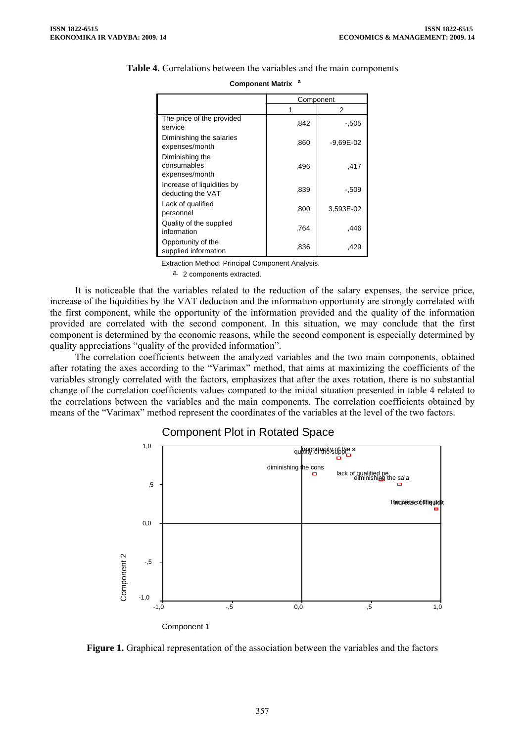|                                                  | Component |             |  |
|--------------------------------------------------|-----------|-------------|--|
|                                                  |           | 2           |  |
| The price of the provided<br>service             | .842      | -.505       |  |
| Diminishing the salaries<br>expenses/month       | .860      | $-9,69E-02$ |  |
| Diminishing the<br>consumables<br>expenses/month | .496      | .417        |  |
| Increase of liquidities by<br>deducting the VAT  | .839      | -.509       |  |
| Lack of qualified<br>personnel                   | .800      | 3,593E-02   |  |
| Quality of the supplied<br>information           | .764      | .446        |  |
| Opportunity of the<br>supplied information       | .836      | .429        |  |

# **Table 4.** Correlations between the variables and the main components **Component Matrix <sup>a</sup>**

Extraction Method: Principal Component Analysis.

a. 2 components extracted.

It is noticeable that the variables related to the reduction of the salary expenses, the service price, increase of the liquidities by the VAT deduction and the information opportunity are strongly correlated with the first component, while the opportunity of the information provided and the quality of the information provided are correlated with the second component. In this situation, we may conclude that the first component is determined by the economic reasons, while the second component is especially determined by quality appreciations "quality of the provided information".

The correlation coefficients between the analyzed variables and the two main components, obtained after rotating the axes according to the "Varimax" method, that aims at maximizing the coefficients of the variables strongly correlated with the factors, emphasizes that after the axes rotation, there is no substantial change of the correlation coefficients values compared to the initial situation presented in table 4 related to the correlations between the variables and the main components. The correlation coefficients obtained by means of the "Varimax" method represent the coordinates of the variables at the level of the two factors.

# Component Plot in Rotated Space



**Figure 1.** Graphical representation of the association between the variables and the factors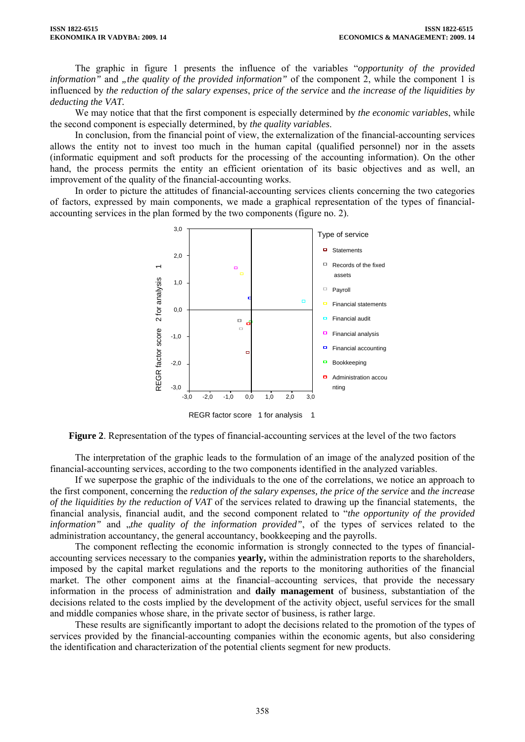The graphic in figure 1 presents the influence of the variables "*opportunity of the provided information*" and *"the quality of the provided information*" of the component 2, while the component 1 is influenced by *the reduction of the salary expenses*, *price of the service* and *the increase of the liquidities by deducting the VAT.* 

We may notice that that the first component is especially determined by *the economic variables*, while the second component is especially determined, by *the quality variables*.

In conclusion, from the financial point of view, the externalization of the financial-accounting services allows the entity not to invest too much in the human capital (qualified personnel) nor in the assets (informatic equipment and soft products for the processing of the accounting information). On the other hand, the process permits the entity an efficient orientation of its basic objectives and as well, an improvement of the quality of the financial-accounting works.

In order to picture the attitudes of financial-accounting services clients concerning the two categories of factors, expressed by main components, we made a graphical representation of the types of financialaccounting services in the plan formed by the two components (figure no. 2).



**Figure 2**. Representation of the types of financial-accounting services at the level of the two factors

The interpretation of the graphic leads to the formulation of an image of the analyzed position of the financial-accounting services, according to the two components identified in the analyzed variables.

If we superpose the graphic of the individuals to the one of the correlations, we notice an approach to the first component, concerning the *reduction of the salary expenses, the price of the service* and *the increase of the liquidities by the reduction of VAT* of the services related to drawing up the financial statements, the financial analysis, financial audit, and the second component related to "*the opportunity of the provided*  information" and "the quality of the information provided", of the types of services related to the administration accountancy, the general accountancy, bookkeeping and the payrolls.

The component reflecting the economic information is strongly connected to the types of financialaccounting services necessary to the companies **yearly,** within the administration reports to the shareholders, imposed by the capital market regulations and the reports to the monitoring authorities of the financial market. The other component aims at the financial–accounting services, that provide the necessary information in the process of administration and **daily management** of business, substantiation of the decisions related to the costs implied by the development of the activity object, useful services for the small and middle companies whose share, in the private sector of business, is rather large.

These results are significantly important to adopt the decisions related to the promotion of the types of services provided by the financial-accounting companies within the economic agents, but also considering the identification and characterization of the potential clients segment for new products.